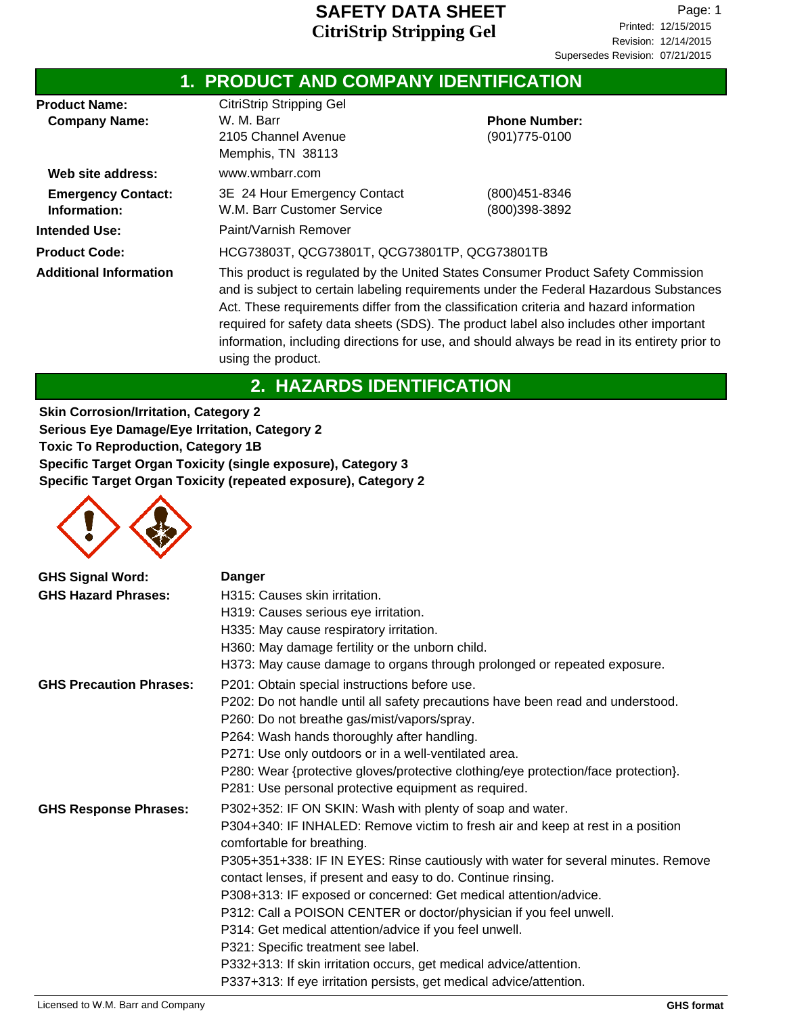|                                              | 1. PRODUCT AND COMPANY IDENTIFICATION                                                                                                                                                                                                                                                                                                                                                                                                                                                  |                                           |  |
|----------------------------------------------|----------------------------------------------------------------------------------------------------------------------------------------------------------------------------------------------------------------------------------------------------------------------------------------------------------------------------------------------------------------------------------------------------------------------------------------------------------------------------------------|-------------------------------------------|--|
| <b>Product Name:</b><br><b>Company Name:</b> | <b>CitriStrip Stripping Gel</b><br>W. M. Barr<br>2105 Channel Avenue<br>Memphis, TN 38113                                                                                                                                                                                                                                                                                                                                                                                              | <b>Phone Number:</b><br>$(901)775 - 0100$ |  |
| Web site address:                            | www.wmbarr.com                                                                                                                                                                                                                                                                                                                                                                                                                                                                         |                                           |  |
| <b>Emergency Contact:</b><br>Information:    | 3E 24 Hour Emergency Contact<br>W.M. Barr Customer Service                                                                                                                                                                                                                                                                                                                                                                                                                             | (800)451-8346<br>(800)398-3892            |  |
| <b>Intended Use:</b>                         | Paint/Varnish Remover                                                                                                                                                                                                                                                                                                                                                                                                                                                                  |                                           |  |
| <b>Product Code:</b>                         | HCG73803T, QCG73801T, QCG73801TP, QCG73801TB                                                                                                                                                                                                                                                                                                                                                                                                                                           |                                           |  |
| <b>Additional Information</b>                | This product is regulated by the United States Consumer Product Safety Commission<br>and is subject to certain labeling requirements under the Federal Hazardous Substances<br>Act. These requirements differ from the classification criteria and hazard information<br>required for safety data sheets (SDS). The product label also includes other important<br>information, including directions for use, and should always be read in its entirety prior to<br>using the product. |                                           |  |

# **2. HAZARDS IDENTIFICATION**

**Skin Corrosion/Irritation, Category 2 Serious Eye Damage/Eye Irritation, Category 2 Toxic To Reproduction, Category 1B Specific Target Organ Toxicity (single exposure), Category 3 Specific Target Organ Toxicity (repeated exposure), Category 2**



| <b>GHS Signal Word:</b>        | <b>Danger</b>                                                                                                 |
|--------------------------------|---------------------------------------------------------------------------------------------------------------|
| <b>GHS Hazard Phrases:</b>     | H315: Causes skin irritation.                                                                                 |
|                                | H319: Causes serious eye irritation.                                                                          |
|                                | H335: May cause respiratory irritation.                                                                       |
|                                | H360: May damage fertility or the unborn child.                                                               |
|                                | H373: May cause damage to organs through prolonged or repeated exposure.                                      |
| <b>GHS Precaution Phrases:</b> | P201: Obtain special instructions before use.                                                                 |
|                                | P202: Do not handle until all safety precautions have been read and understood.                               |
|                                | P260: Do not breathe gas/mist/vapors/spray.                                                                   |
|                                | P264: Wash hands thoroughly after handling.                                                                   |
|                                | P271: Use only outdoors or in a well-ventilated area.                                                         |
|                                | P280: Wear {protective gloves/protective clothing/eye protection/face protection}.                            |
|                                | P281: Use personal protective equipment as required.                                                          |
| <b>GHS Response Phrases:</b>   | P302+352: IF ON SKIN: Wash with plenty of soap and water.                                                     |
|                                | P304+340: IF INHALED: Remove victim to fresh air and keep at rest in a position<br>comfortable for breathing. |
|                                | P305+351+338: IF IN EYES: Rinse cautiously with water for several minutes. Remove                             |
|                                | contact lenses, if present and easy to do. Continue rinsing.                                                  |
|                                | P308+313: IF exposed or concerned: Get medical attention/advice.                                              |
|                                | P312: Call a POISON CENTER or doctor/physician if you feel unwell.                                            |
|                                | P314: Get medical attention/advice if you feel unwell.                                                        |
|                                | P321: Specific treatment see label.                                                                           |
|                                | P332+313: If skin irritation occurs, get medical advice/attention.                                            |
|                                | P337+313: If eye irritation persists, get medical advice/attention.                                           |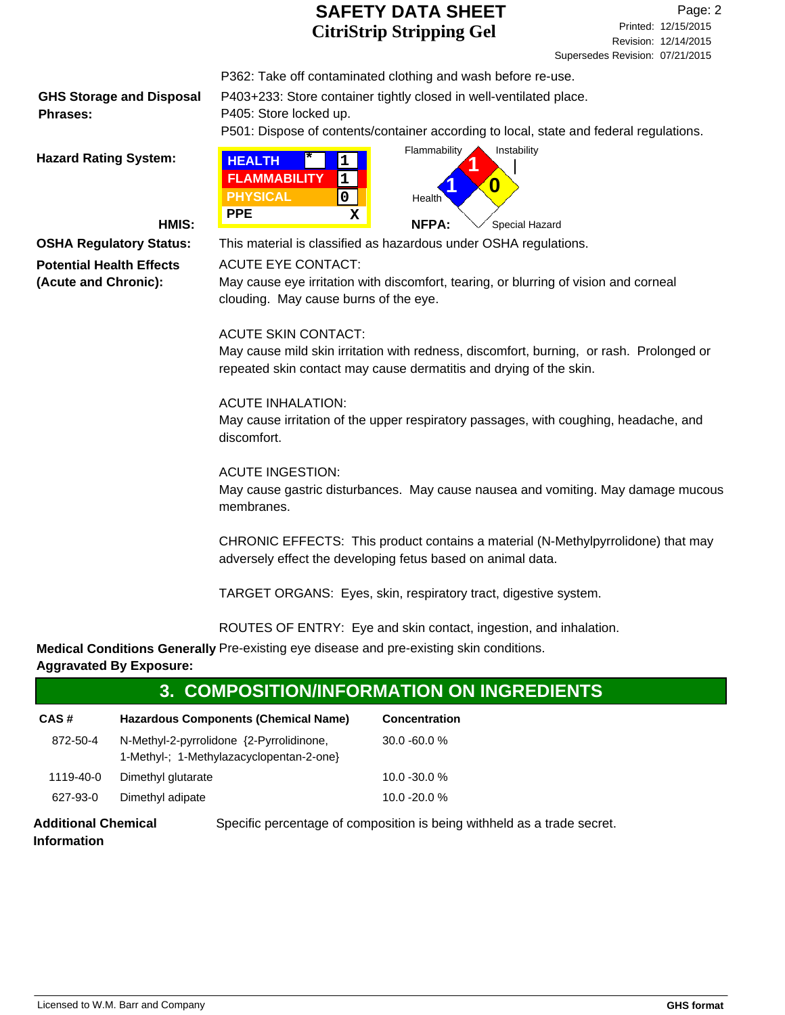**GHS Storage and Disposal Phrases:**

P362: Take off contaminated clothing and wash before re-use. P403+233: Store container tightly closed in well-ventilated place.

P405: Store locked up.

P501: Dispose of contents/container according to local, state and federal regulations.



**Potential Health Effects (Acute and Chronic):**

**OSHA Regulatory Status:** This material is classified as hazardous under OSHA regulations.

#### ACUTE EYE CONTACT:

May cause eye irritation with discomfort, tearing, or blurring of vision and corneal clouding. May cause burns of the eye.

#### ACUTE SKIN CONTACT:

May cause mild skin irritation with redness, discomfort, burning, or rash. Prolonged or repeated skin contact may cause dermatitis and drying of the skin.

#### ACUTE INHALATION:

May cause irritation of the upper respiratory passages, with coughing, headache, and discomfort.

#### ACUTE INGESTION:

May cause gastric disturbances. May cause nausea and vomiting. May damage mucous membranes.

CHRONIC EFFECTS: This product contains a material (N-Methylpyrrolidone) that may adversely effect the developing fetus based on animal data.

TARGET ORGANS: Eyes, skin, respiratory tract, digestive system.

ROUTES OF ENTRY: Eye and skin contact, ingestion, and inhalation.

**Medical Conditions Generally** Pre-existing eye disease and pre-existing skin conditions. **Aggravated By Exposure:**

### **3. COMPOSITION/INFORMATION ON INGREDIENTS**

| CAS#      | <b>Hazardous Components (Chemical Name)</b>                                          | <b>Concentration</b> |
|-----------|--------------------------------------------------------------------------------------|----------------------|
| 872-50-4  | N-Methyl-2-pyrrolidone {2-Pyrrolidinone,<br>1-Methyl-; 1-Methylazacyclopentan-2-one} | $30.0 - 60.0 %$      |
| 1119-40-0 | Dimethyl glutarate                                                                   | $10.0 - 30.0 %$      |
| 627-93-0  | Dimethyl adipate                                                                     | $10.0 - 20.0 %$      |

**Additional Chemical** Specific percentage of composition is being withheld as a trade secret. **Information**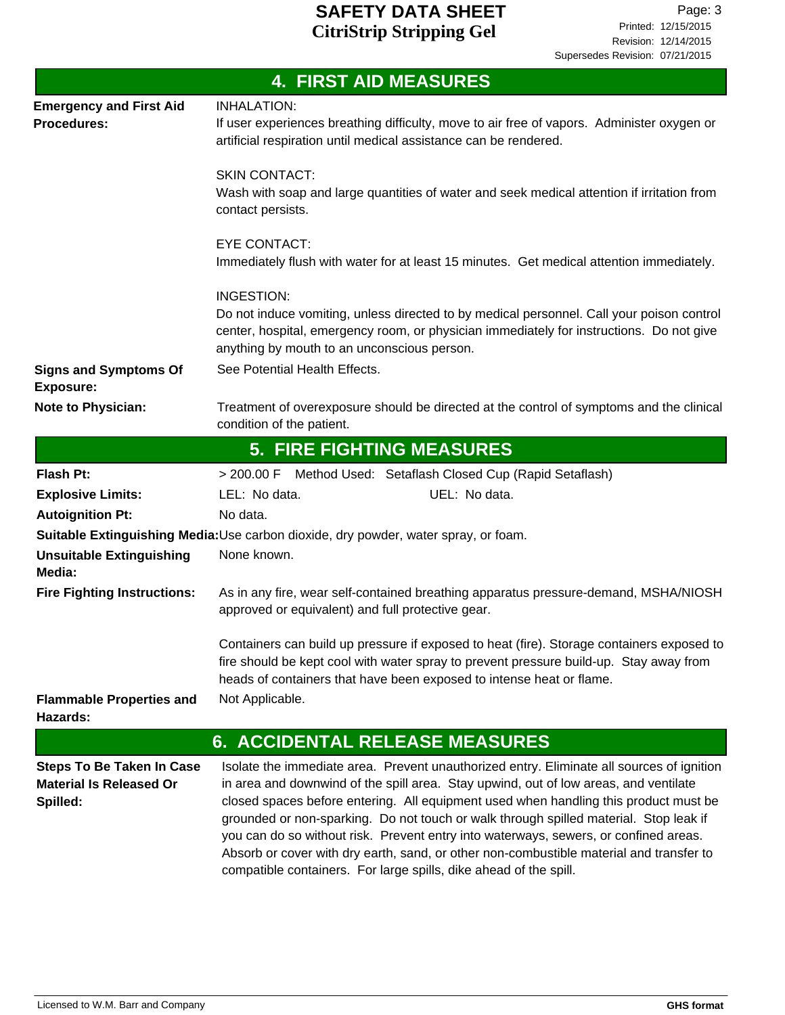|                                                                                | <b>4. FIRST AID MEASURES</b>                                                                                                                                                                                                                                                                                                                                                                                                                                                                                                                                                                                               |
|--------------------------------------------------------------------------------|----------------------------------------------------------------------------------------------------------------------------------------------------------------------------------------------------------------------------------------------------------------------------------------------------------------------------------------------------------------------------------------------------------------------------------------------------------------------------------------------------------------------------------------------------------------------------------------------------------------------------|
| <b>Emergency and First Aid</b><br><b>Procedures:</b>                           | <b>INHALATION:</b><br>If user experiences breathing difficulty, move to air free of vapors. Administer oxygen or<br>artificial respiration until medical assistance can be rendered.                                                                                                                                                                                                                                                                                                                                                                                                                                       |
|                                                                                | <b>SKIN CONTACT:</b><br>Wash with soap and large quantities of water and seek medical attention if irritation from<br>contact persists.                                                                                                                                                                                                                                                                                                                                                                                                                                                                                    |
|                                                                                | <b>EYE CONTACT:</b><br>Immediately flush with water for at least 15 minutes. Get medical attention immediately.                                                                                                                                                                                                                                                                                                                                                                                                                                                                                                            |
|                                                                                | <b>INGESTION:</b><br>Do not induce vomiting, unless directed to by medical personnel. Call your poison control<br>center, hospital, emergency room, or physician immediately for instructions. Do not give<br>anything by mouth to an unconscious person.<br>See Potential Health Effects.                                                                                                                                                                                                                                                                                                                                 |
| <b>Signs and Symptoms Of</b><br><b>Exposure:</b>                               |                                                                                                                                                                                                                                                                                                                                                                                                                                                                                                                                                                                                                            |
| <b>Note to Physician:</b>                                                      | Treatment of overexposure should be directed at the control of symptoms and the clinical<br>condition of the patient.                                                                                                                                                                                                                                                                                                                                                                                                                                                                                                      |
|                                                                                | <b>5. FIRE FIGHTING MEASURES</b>                                                                                                                                                                                                                                                                                                                                                                                                                                                                                                                                                                                           |
| <b>Flash Pt:</b>                                                               | > 200.00 F Method Used: Setaflash Closed Cup (Rapid Setaflash)                                                                                                                                                                                                                                                                                                                                                                                                                                                                                                                                                             |
| <b>Explosive Limits:</b>                                                       | LEL: No data.<br>UEL: No data.                                                                                                                                                                                                                                                                                                                                                                                                                                                                                                                                                                                             |
| <b>Autoignition Pt:</b>                                                        | No data.                                                                                                                                                                                                                                                                                                                                                                                                                                                                                                                                                                                                                   |
|                                                                                | Suitable Extinguishing Media: Use carbon dioxide, dry powder, water spray, or foam.                                                                                                                                                                                                                                                                                                                                                                                                                                                                                                                                        |
| <b>Unsuitable Extinguishing</b><br>Media:                                      | None known.                                                                                                                                                                                                                                                                                                                                                                                                                                                                                                                                                                                                                |
| <b>Fire Fighting Instructions:</b>                                             | As in any fire, wear self-contained breathing apparatus pressure-demand, MSHA/NIOSH<br>approved or equivalent) and full protective gear.                                                                                                                                                                                                                                                                                                                                                                                                                                                                                   |
|                                                                                | Containers can build up pressure if exposed to heat (fire). Storage containers exposed to<br>fire should be kept cool with water spray to prevent pressure build-up. Stay away from<br>heads of containers that have been exposed to intense heat or flame.                                                                                                                                                                                                                                                                                                                                                                |
| <b>Flammable Properties and</b><br>Hazards:                                    | Not Applicable.                                                                                                                                                                                                                                                                                                                                                                                                                                                                                                                                                                                                            |
|                                                                                | <b>6. ACCIDENTAL RELEASE MEASURES</b>                                                                                                                                                                                                                                                                                                                                                                                                                                                                                                                                                                                      |
| <b>Steps To Be Taken In Case</b><br><b>Material Is Released Or</b><br>Spilled: | Isolate the immediate area. Prevent unauthorized entry. Eliminate all sources of ignition<br>in area and downwind of the spill area. Stay upwind, out of low areas, and ventilate<br>closed spaces before entering. All equipment used when handling this product must be<br>grounded or non-sparking. Do not touch or walk through spilled material. Stop leak if<br>you can do so without risk. Prevent entry into waterways, sewers, or confined areas.<br>Absorb or cover with dry earth, sand, or other non-combustible material and transfer to<br>compatible containers. For large spills, dike ahead of the spill. |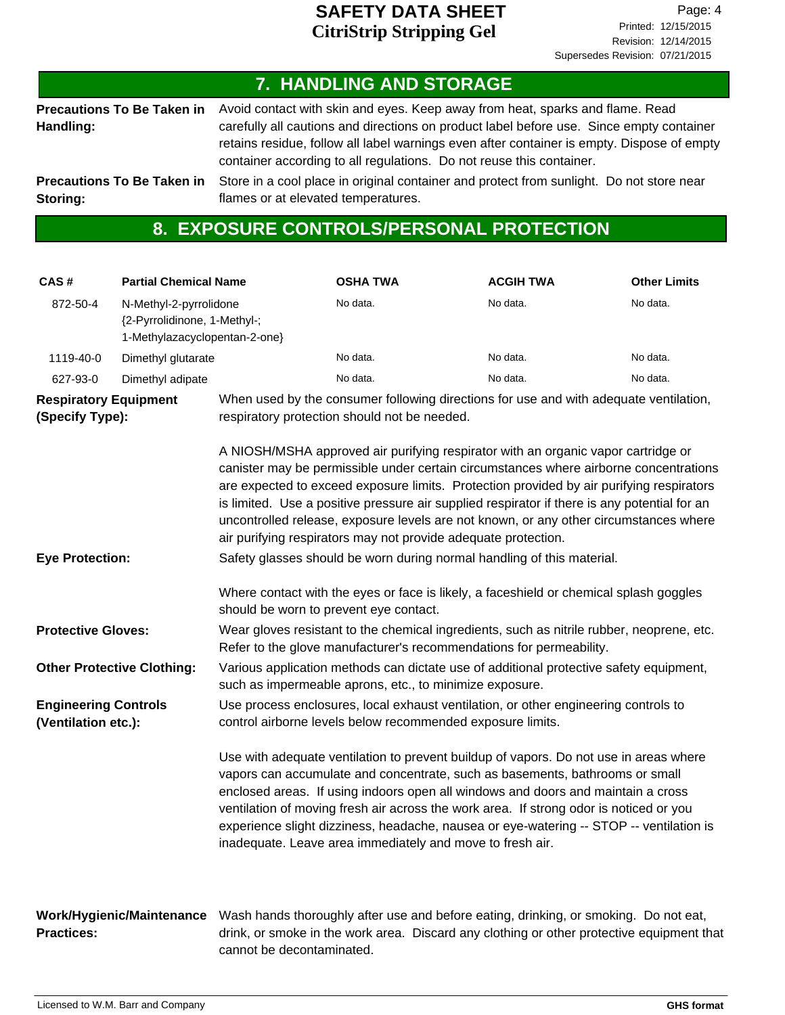### **7. HANDLING AND STORAGE**

**Precautions To Be Taken in Handling:**

Avoid contact with skin and eyes. Keep away from heat, sparks and flame. Read carefully all cautions and directions on product label before use. Since empty container retains residue, follow all label warnings even after container is empty. Dispose of empty container according to all regulations. Do not reuse this container.

**Precautions To Be Taken in Storing:**

Store in a cool place in original container and protect from sunlight. Do not store near flames or at elevated temperatures.

### **8. EXPOSURE CONTROLS/PERSONAL PROTECTION**

| CAS#                                               | <b>Partial Chemical Name</b>                                                            |                                                                                                                                                   | <b>OSHA TWA</b>                                                                                                                                                                                                                                                                                                                                                                                                                                                                                                                   | <b>ACGIH TWA</b> | <b>Other Limits</b> |  |
|----------------------------------------------------|-----------------------------------------------------------------------------------------|---------------------------------------------------------------------------------------------------------------------------------------------------|-----------------------------------------------------------------------------------------------------------------------------------------------------------------------------------------------------------------------------------------------------------------------------------------------------------------------------------------------------------------------------------------------------------------------------------------------------------------------------------------------------------------------------------|------------------|---------------------|--|
| 872-50-4                                           | N-Methyl-2-pyrrolidone<br>{2-Pyrrolidinone, 1-Methyl-;<br>1-Methylazacyclopentan-2-one} |                                                                                                                                                   | No data.                                                                                                                                                                                                                                                                                                                                                                                                                                                                                                                          | No data.         | No data.            |  |
| 1119-40-0                                          | Dimethyl glutarate                                                                      |                                                                                                                                                   | No data.                                                                                                                                                                                                                                                                                                                                                                                                                                                                                                                          | No data.         | No data.            |  |
| 627-93-0                                           | Dimethyl adipate                                                                        |                                                                                                                                                   | No data.                                                                                                                                                                                                                                                                                                                                                                                                                                                                                                                          | No data.         | No data.            |  |
| <b>Respiratory Equipment</b><br>(Specify Type):    |                                                                                         |                                                                                                                                                   | When used by the consumer following directions for use and with adequate ventilation,<br>respiratory protection should not be needed.                                                                                                                                                                                                                                                                                                                                                                                             |                  |                     |  |
|                                                    |                                                                                         |                                                                                                                                                   | A NIOSH/MSHA approved air purifying respirator with an organic vapor cartridge or<br>canister may be permissible under certain circumstances where airborne concentrations<br>are expected to exceed exposure limits. Protection provided by air purifying respirators<br>is limited. Use a positive pressure air supplied respirator if there is any potential for an<br>uncontrolled release, exposure levels are not known, or any other circumstances where<br>air purifying respirators may not provide adequate protection. |                  |                     |  |
| <b>Eye Protection:</b>                             |                                                                                         | Safety glasses should be worn during normal handling of this material.                                                                            |                                                                                                                                                                                                                                                                                                                                                                                                                                                                                                                                   |                  |                     |  |
|                                                    |                                                                                         | should be worn to prevent eye contact.                                                                                                            | Where contact with the eyes or face is likely, a faceshield or chemical splash goggles                                                                                                                                                                                                                                                                                                                                                                                                                                            |                  |                     |  |
| <b>Protective Gloves:</b>                          |                                                                                         |                                                                                                                                                   | Wear gloves resistant to the chemical ingredients, such as nitrile rubber, neoprene, etc.<br>Refer to the glove manufacturer's recommendations for permeability.                                                                                                                                                                                                                                                                                                                                                                  |                  |                     |  |
| <b>Other Protective Clothing:</b>                  |                                                                                         | Various application methods can dictate use of additional protective safety equipment,<br>such as impermeable aprons, etc., to minimize exposure. |                                                                                                                                                                                                                                                                                                                                                                                                                                                                                                                                   |                  |                     |  |
| <b>Engineering Controls</b><br>(Ventilation etc.): |                                                                                         | Use process enclosures, local exhaust ventilation, or other engineering controls to<br>control airborne levels below recommended exposure limits. |                                                                                                                                                                                                                                                                                                                                                                                                                                                                                                                                   |                  |                     |  |
|                                                    |                                                                                         |                                                                                                                                                   | Use with adequate ventilation to prevent buildup of vapors. Do not use in areas where<br>vapors can accumulate and concentrate, such as basements, bathrooms or small<br>enclosed areas. If using indoors open all windows and doors and maintain a cross<br>ventilation of moving fresh air across the work area. If strong odor is noticed or you<br>experience slight dizziness, headache, nausea or eye-watering -- STOP -- ventilation is<br>inadequate. Leave area immediately and move to fresh air.                       |                  |                     |  |
| <b>Practices:</b>                                  | Work/Hygienic/Maintenance                                                               | cannot be decontaminated.                                                                                                                         | Wash hands thoroughly after use and before eating, drinking, or smoking. Do not eat,<br>drink, or smoke in the work area. Discard any clothing or other protective equipment that                                                                                                                                                                                                                                                                                                                                                 |                  |                     |  |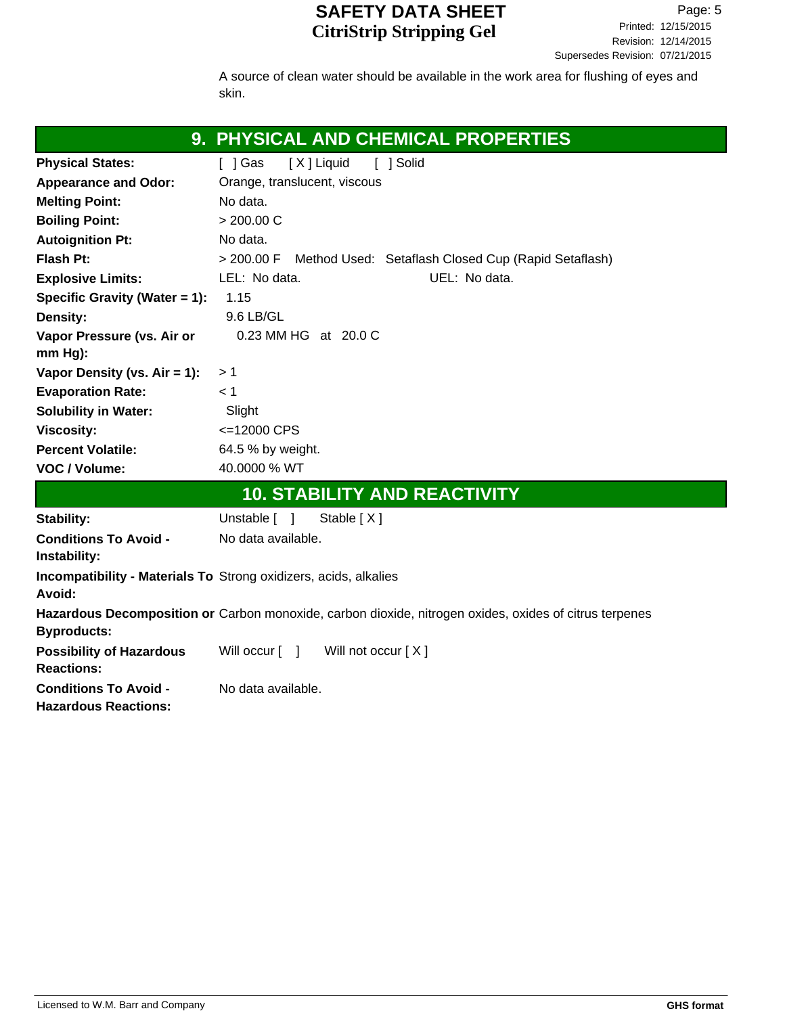A source of clean water should be available in the work area for flushing of eyes and skin.

|                                                             | 9. PHYSICAL AND CHEMICAL PROPERTIES                                                                    |
|-------------------------------------------------------------|--------------------------------------------------------------------------------------------------------|
| <b>Physical States:</b>                                     | $\lceil$   Gas<br>[X] Liquid<br>[ ] Solid                                                              |
| <b>Appearance and Odor:</b>                                 | Orange, translucent, viscous                                                                           |
| <b>Melting Point:</b>                                       | No data.                                                                                               |
| <b>Boiling Point:</b>                                       | > 200.00 C                                                                                             |
| <b>Autoignition Pt:</b>                                     | No data.                                                                                               |
| Flash Pt:                                                   | > 200.00 F Method Used: Setaflash Closed Cup (Rapid Setaflash)                                         |
| <b>Explosive Limits:</b>                                    | LEL: No data.<br>UEL: No data.                                                                         |
| Specific Gravity (Water = 1):                               | 1.15                                                                                                   |
| Density:                                                    | 9.6 LB/GL                                                                                              |
| Vapor Pressure (vs. Air or                                  | 0.23 MM HG at 20.0 C                                                                                   |
| $mm Hg$ :                                                   |                                                                                                        |
| Vapor Density (vs. $Air = 1$ ):                             | >1                                                                                                     |
| <b>Evaporation Rate:</b>                                    | < 1                                                                                                    |
| <b>Solubility in Water:</b>                                 | Slight                                                                                                 |
| <b>Viscosity:</b>                                           | <= 12000 CPS                                                                                           |
| <b>Percent Volatile:</b>                                    | 64.5 % by weight.                                                                                      |
| VOC / Volume:                                               | 40.0000 % WT                                                                                           |
|                                                             | <b>10. STABILITY AND REACTIVITY</b>                                                                    |
| Stability:                                                  | Unstable $\lceil \quad \rceil$<br>Stable $[X]$                                                         |
| <b>Conditions To Avoid -</b><br>Instability:                | No data available.                                                                                     |
| Avoid:                                                      | <b>Incompatibility - Materials To Strong oxidizers, acids, alkalies</b>                                |
| <b>Byproducts:</b>                                          | Hazardous Decomposition or Carbon monoxide, carbon dioxide, nitrogen oxides, oxides of citrus terpenes |
| <b>Possibility of Hazardous</b><br><b>Reactions:</b>        | Will not occur [X]<br>Will occur [ ]                                                                   |
| <b>Conditions To Avoid -</b><br><b>Hazardous Reactions:</b> | No data available.                                                                                     |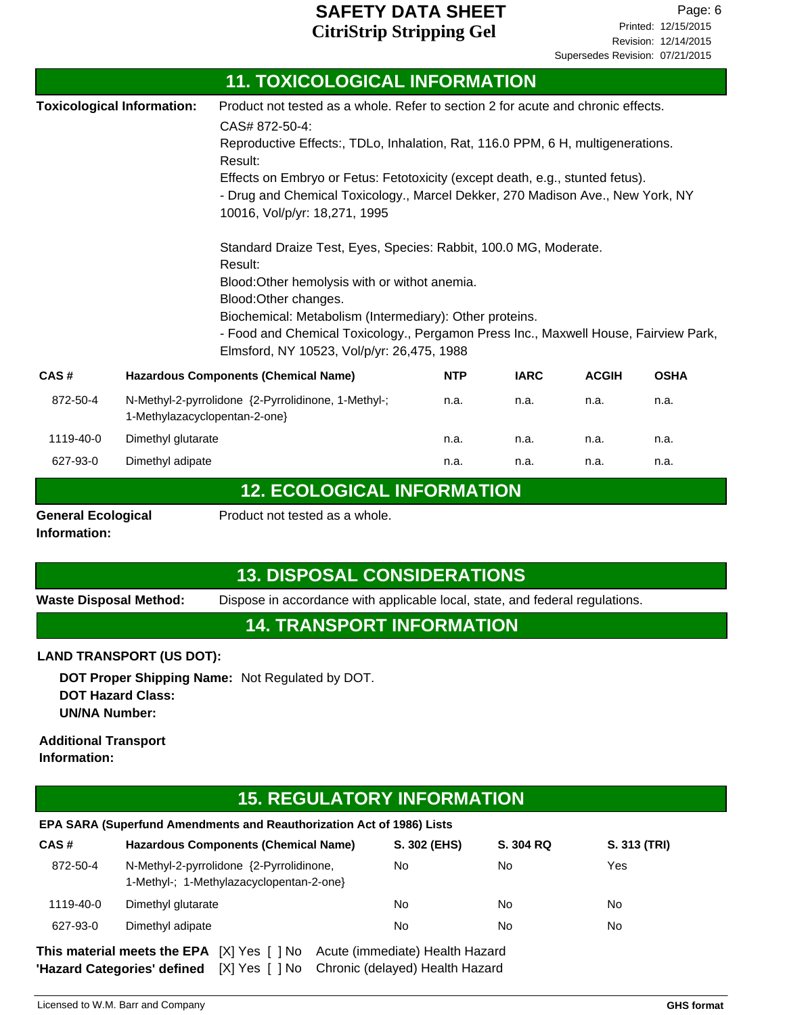**11. TOXICOLOGICAL INFORMATION**

|                                   |                                                                                                                                                                                                                                                                                                                                                       | 11. TOXICOLOGICAL INFORMATION                                                                                                                                                                                                                                                                                                                                                                        |            |             |              |             |
|-----------------------------------|-------------------------------------------------------------------------------------------------------------------------------------------------------------------------------------------------------------------------------------------------------------------------------------------------------------------------------------------------------|------------------------------------------------------------------------------------------------------------------------------------------------------------------------------------------------------------------------------------------------------------------------------------------------------------------------------------------------------------------------------------------------------|------------|-------------|--------------|-------------|
| <b>Toxicological Information:</b> |                                                                                                                                                                                                                                                                                                                                                       | Product not tested as a whole. Refer to section 2 for acute and chronic effects.<br>CAS# 872-50-4:<br>Reproductive Effects:, TDLo, Inhalation, Rat, 116.0 PPM, 6 H, multigenerations.<br>Result:<br>Effects on Embryo or Fetus: Fetotoxicity (except death, e.g., stunted fetus).<br>- Drug and Chemical Toxicology., Marcel Dekker, 270 Madison Ave., New York, NY<br>10016, Vol/p/yr: 18,271, 1995 |            |             |              |             |
|                                   | Standard Draize Test, Eyes, Species: Rabbit, 100.0 MG, Moderate.<br>Result:<br>Blood: Other hemolysis with or withot anemia.<br>Blood: Other changes.<br>Biochemical: Metabolism (Intermediary): Other proteins.<br>- Food and Chemical Toxicology., Pergamon Press Inc., Maxwell House, Fairview Park,<br>Elmsford, NY 10523, Vol/p/yr: 26,475, 1988 |                                                                                                                                                                                                                                                                                                                                                                                                      |            |             |              |             |
| CAS#                              |                                                                                                                                                                                                                                                                                                                                                       | <b>Hazardous Components (Chemical Name)</b>                                                                                                                                                                                                                                                                                                                                                          | <b>NTP</b> | <b>IARC</b> | <b>ACGIH</b> | <b>OSHA</b> |
| 872-50-4                          | 1-Methylazacyclopentan-2-one}                                                                                                                                                                                                                                                                                                                         | N-Methyl-2-pyrrolidone {2-Pyrrolidinone, 1-Methyl-;                                                                                                                                                                                                                                                                                                                                                  | n.a.       | n.a.        | n.a.         | n.a.        |
| 1119-40-0                         | Dimethyl glutarate                                                                                                                                                                                                                                                                                                                                    |                                                                                                                                                                                                                                                                                                                                                                                                      | n.a.       | n.a.        | n.a.         | n.a.        |
| 627-93-0                          | Dimethyl adipate                                                                                                                                                                                                                                                                                                                                      |                                                                                                                                                                                                                                                                                                                                                                                                      | n.a.       | n.a.        | n.a.         | n.a.        |
|                                   |                                                                                                                                                                                                                                                                                                                                                       | <b>12. ECOLOGICAL INFORMATION</b>                                                                                                                                                                                                                                                                                                                                                                    |            |             |              |             |

**Information:**

**General Ecological** Product not tested as a whole.

## **13. DISPOSAL CONSIDERATIONS**

**Waste Disposal Method:** Dispose in accordance with applicable local, state, and federal regulations.

### **14. TRANSPORT INFORMATION**

#### **LAND TRANSPORT (US DOT):**

**DOT Proper Shipping Name:** Not Regulated by DOT. **DOT Hazard Class: UN/NA Number:**

#### **Additional Transport Information:**

## **15. REGULATORY INFORMATION**

#### **EPA SARA (Superfund Amendments and Reauthorization Act of 1986) Lists**

| CAS#      | Hazardous Components (Chemical Name)                                                 | S. 302 (EHS)                     | S. 304 RQ | S. 313 (TRI) |
|-----------|--------------------------------------------------------------------------------------|----------------------------------|-----------|--------------|
| 872-50-4  | N-Methyl-2-pyrrolidone {2-Pyrrolidinone,<br>1-Methyl-; 1-Methylazacyclopentan-2-one} | No                               | No        | Yes          |
| 1119-40-0 | Dimethyl glutarate                                                                   | No                               | No        | No           |
| 627-93-0  | Dimethyl adipate                                                                     | No                               | No        | No           |
|           | IYI Vac I 1 No<br>Thie matorial moote the FDA.                                       | harita (immadiata) Haalth Hazard |           |              |

**This material meets the EPA** [X] Yes [ ] No Acute (immediate) Health Hazard **'Hazard Categories' defined** [X] Yes [ ] No Chronic (delayed) Health Hazard